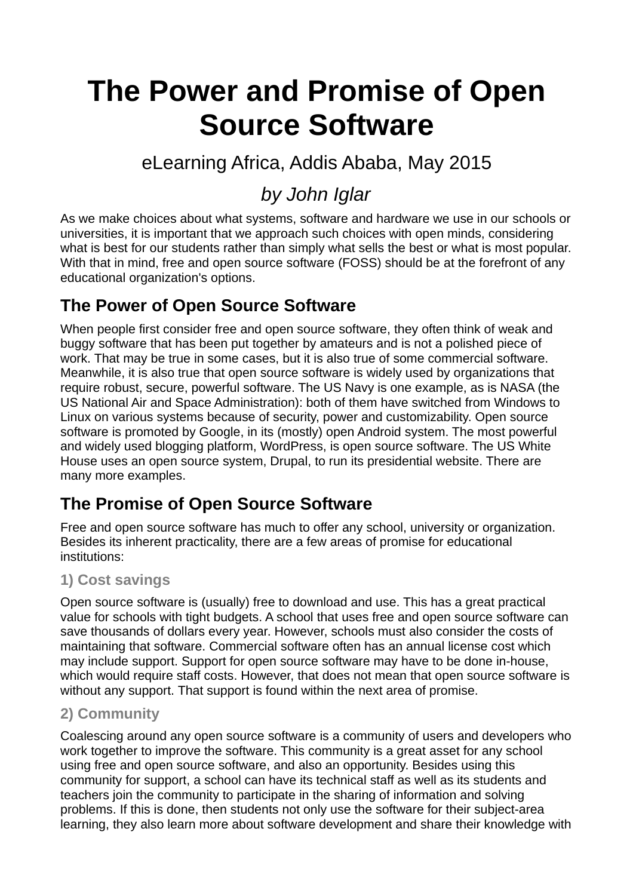# **The Power and Promise of Open Source Software**

# eLearning Africa, Addis Ababa, May 2015

# *by John Iglar*

As we make choices about what systems, software and hardware we use in our schools or universities, it is important that we approach such choices with open minds, considering what is best for our students rather than simply what sells the best or what is most popular. With that in mind, free and open source software (FOSS) should be at the forefront of any educational organization's options.

# **The Power of Open Source Software**

When people first consider free and open source software, they often think of weak and buggy software that has been put together by amateurs and is not a polished piece of work. That may be true in some cases, but it is also true of some commercial software. Meanwhile, it is also true that open source software is widely used by organizations that require robust, secure, powerful software. The US Navy is one example, as is NASA (the US National Air and Space Administration): both of them have switched from Windows to Linux on various systems because of security, power and customizability. Open source software is promoted by Google, in its (mostly) open Android system. The most powerful and widely used blogging platform, WordPress, is open source software. The US White House uses an open source system, Drupal, to run its presidential website. There are many more examples.

### **The Promise of Open Source Software**

Free and open source software has much to offer any school, university or organization. Besides its inherent practicality, there are a few areas of promise for educational institutions:

#### **1) Cost savings**

Open source software is (usually) free to download and use. This has a great practical value for schools with tight budgets. A school that uses free and open source software can save thousands of dollars every year. However, schools must also consider the costs of maintaining that software. Commercial software often has an annual license cost which may include support. Support for open source software may have to be done in-house, which would require staff costs. However, that does not mean that open source software is without any support. That support is found within the next area of promise.

#### **2) Community**

Coalescing around any open source software is a community of users and developers who work together to improve the software. This community is a great asset for any school using free and open source software, and also an opportunity. Besides using this community for support, a school can have its technical staff as well as its students and teachers join the community to participate in the sharing of information and solving problems. If this is done, then students not only use the software for their subject-area learning, they also learn more about software development and share their knowledge with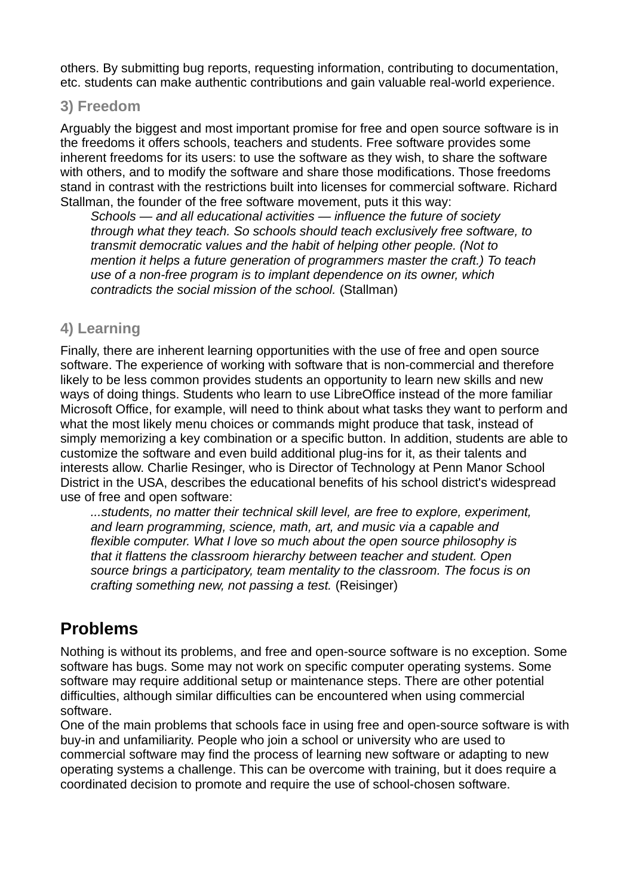others. By submitting bug reports, requesting information, contributing to documentation, etc. students can make authentic contributions and gain valuable real-world experience.

#### **3) Freedom**

Arguably the biggest and most important promise for free and open source software is in the freedoms it offers schools, teachers and students. Free software provides some inherent freedoms for its users: to use the software as they wish, to share the software with others, and to modify the software and share those modifications. Those freedoms stand in contrast with the restrictions built into licenses for commercial software. Richard Stallman, the founder of the free software movement, puts it this way:

*Schools — and all educational activities — influence the future of society through what they teach. So schools should teach exclusively free software, to transmit democratic values and the habit of helping other people. (Not to mention it helps a future generation of programmers master the craft.) To teach use of a non-free program is to implant dependence on its owner, which contradicts the social mission of the school.* (Stallman)

#### **4) Learning**

Finally, there are inherent learning opportunities with the use of free and open source software. The experience of working with software that is non-commercial and therefore likely to be less common provides students an opportunity to learn new skills and new ways of doing things. Students who learn to use LibreOffice instead of the more familiar Microsoft Office, for example, will need to think about what tasks they want to perform and what the most likely menu choices or commands might produce that task, instead of simply memorizing a key combination or a specific button. In addition, students are able to customize the software and even build additional plug-ins for it, as their talents and interests allow. Charlie Resinger, who is Director of Technology at Penn Manor School District in the USA, describes the educational benefits of his school district's widespread use of free and open software:

*...students, no matter their technical skill level, are free to explore, experiment, and learn programming, science, math, art, and music via a capable and flexible computer. What I love so much about the open source philosophy is that it flattens the classroom hierarchy between teacher and student. Open source brings a participatory, team mentality to the classroom. The focus is on crafting something new, not passing a test.* (Reisinger)

### **Problems**

Nothing is without its problems, and free and open-source software is no exception. Some software has bugs. Some may not work on specific computer operating systems. Some software may require additional setup or maintenance steps. There are other potential difficulties, although similar difficulties can be encountered when using commercial software.

One of the main problems that schools face in using free and open-source software is with buy-in and unfamiliarity. People who join a school or university who are used to commercial software may find the process of learning new software or adapting to new operating systems a challenge. This can be overcome with training, but it does require a coordinated decision to promote and require the use of school-chosen software.